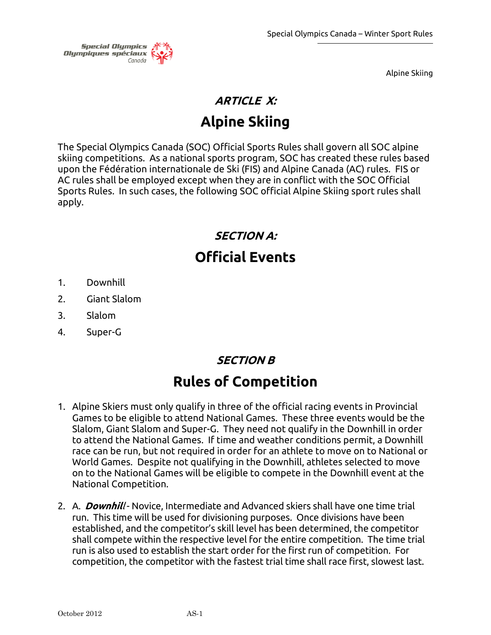

# **ARTICLE X: Alpine Skiing**

The Special Olympics Canada (SOC) Official Sports Rules shall govern all SOC alpine skiing competitions. As a national sports program, SOC has created these rules based upon the Fédération internationale de Ski (FIS) and Alpine Canada (AC) rules. FIS or AC rules shall be employed except when they are in conflict with the SOC Official Sports Rules. In such cases, the following SOC official Alpine Skiing sport rules shall apply.

# **SECTION A: Official Events**

- 1. Downhill
- 2. Giant Slalom
- 3. Slalom
- 4. Super-G

# **SECTION B**

# **Rules of Competition**

- 1. Alpine Skiers must only qualify in three of the official racing events in Provincial Games to be eligible to attend National Games. These three events would be the Slalom, Giant Slalom and Super-G. They need not qualify in the Downhill in order to attend the National Games. If time and weather conditions permit, a Downhill race can be run, but not required in order for an athlete to move on to National or World Games. Despite not qualifying in the Downhill, athletes selected to move on to the National Games will be eligible to compete in the Downhill event at the National Competition.
- 2. A. *Downhill* Novice, Intermediate and Advanced skiers shall have one time trial run. This time will be used for divisioning purposes. Once divisions have been established, and the competitor's skill level has been determined, the competitor shall compete within the respective level for the entire competition. The time trial run is also used to establish the start order for the first run of competition. For competition, the competitor with the fastest trial time shall race first, slowest last.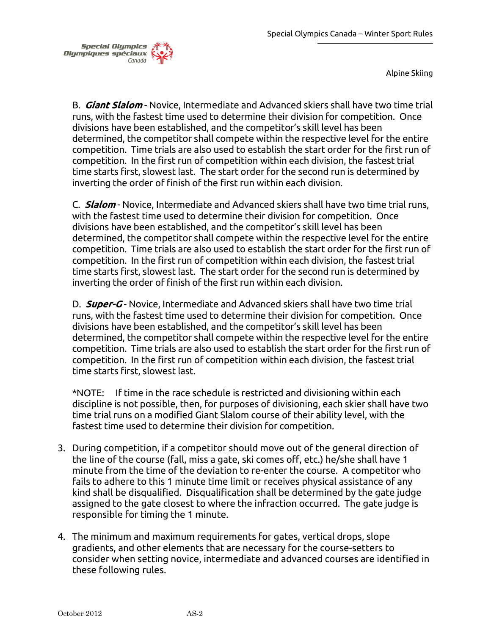

B. **Giant Slalom** - Novice, Intermediate and Advanced skiers shall have two time trial runs, with the fastest time used to determine their division for competition. Once divisions have been established, and the competitor's skill level has been determined, the competitor shall compete within the respective level for the entire competition. Time trials are also used to establish the start order for the first run of competition. In the first run of competition within each division, the fastest trial time starts first, slowest last. The start order for the second run is determined by inverting the order of finish of the first run within each division.

C. **Slalom** - Novice, Intermediate and Advanced skiers shall have two time trial runs, with the fastest time used to determine their division for competition. Once divisions have been established, and the competitor's skill level has been determined, the competitor shall compete within the respective level for the entire competition. Time trials are also used to establish the start order for the first run of competition. In the first run of competition within each division, the fastest trial time starts first, slowest last. The start order for the second run is determined by inverting the order of finish of the first run within each division.

D. **Super-G** - Novice, Intermediate and Advanced skiers shall have two time trial runs, with the fastest time used to determine their division for competition. Once divisions have been established, and the competitor's skill level has been determined, the competitor shall compete within the respective level for the entire competition. Time trials are also used to establish the start order for the first run of competition. In the first run of competition within each division, the fastest trial time starts first, slowest last.

\*NOTE: If time in the race schedule is restricted and divisioning within each discipline is not possible, then, for purposes of divisioning, each skier shall have two time trial runs on a modified Giant Slalom course of their ability level, with the fastest time used to determine their division for competition.

- 3. During competition, if a competitor should move out of the general direction of the line of the course (fall, miss a gate, ski comes off, etc.) he/she shall have 1 minute from the time of the deviation to re-enter the course. A competitor who fails to adhere to this 1 minute time limit or receives physical assistance of any kind shall be disqualified. Disqualification shall be determined by the gate judge assigned to the gate closest to where the infraction occurred. The gate judge is responsible for timing the 1 minute.
- 4. The minimum and maximum requirements for gates, vertical drops, slope gradients, and other elements that are necessary for the course-setters to consider when setting novice, intermediate and advanced courses are identified in these following rules.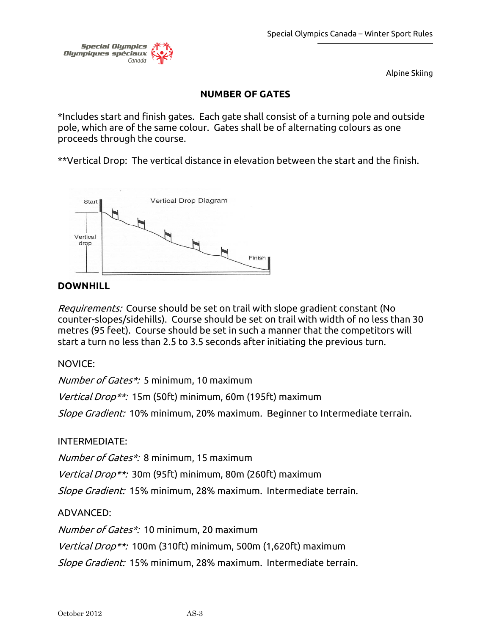

# **NUMBER OF GATES**

\*Includes start and finish gates. Each gate shall consist of a turning pole and outside pole, which are of the same colour. Gates shall be of alternating colours as one proceeds through the course.

\*\*Vertical Drop: The vertical distance in elevation between the start and the finish.



# **DOWNHILL**

Requirements: Course should be set on trail with slope gradient constant (No counter-slopes/sidehills). Course should be set on trail with width of no less than 30 metres (95 feet). Course should be set in such a manner that the competitors will start a turn no less than 2.5 to 3.5 seconds after initiating the previous turn.

NOVICE:

Number of Gates\*: 5 minimum, 10 maximum

Vertical Drop\*\*: 15m (50ft) minimum, 60m (195ft) maximum

Slope Gradient: 10% minimum, 20% maximum. Beginner to Intermediate terrain.

# INTERMEDIATE:

Number of Gates\*: 8 minimum, 15 maximum

Vertical Drop\*\*: 30m (95ft) minimum, 80m (260ft) maximum

Slope Gradient: 15% minimum, 28% maximum. Intermediate terrain.

# ADVANCED:

Number of Gates\*: 10 minimum, 20 maximum

Vertical Drop\*\*: 100m (310ft) minimum, 500m (1,620ft) maximum

Slope Gradient: 15% minimum, 28% maximum. Intermediate terrain.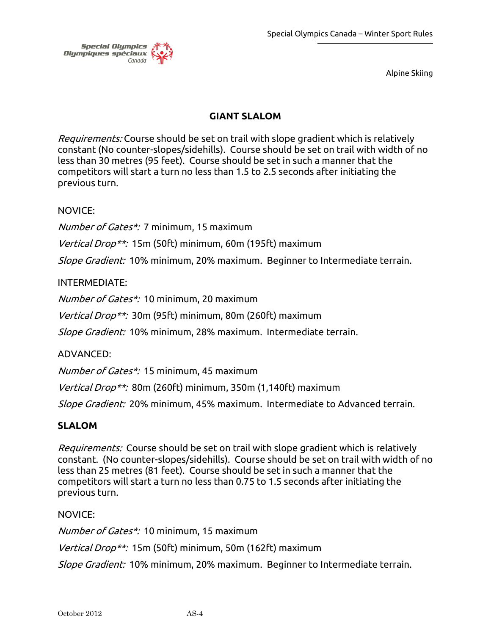

# **GIANT SLALOM**

Requirements: Course should be set on trail with slope gradient which is relatively constant (No counter-slopes/sidehills). Course should be set on trail with width of no less than 30 metres (95 feet). Course should be set in such a manner that the competitors will start a turn no less than 1.5 to 2.5 seconds after initiating the previous turn.

#### NOVICE:

Number of Gates\*: 7 minimum, 15 maximum

Vertical Drop\*\*: 15m (50ft) minimum, 60m (195ft) maximum

Slope Gradient: 10% minimum, 20% maximum. Beginner to Intermediate terrain.

#### INTERMEDIATE:

Number of Gates\*: 10 minimum, 20 maximum

Vertical Drop\*\*: 30m (95ft) minimum, 80m (260ft) maximum

Slope Gradient: 10% minimum, 28% maximum. Intermediate terrain.

#### ADVANCED:

Number of Gates\*: 15 minimum, 45 maximum

Vertical Drop\*\*: 80m (260ft) minimum, 350m (1,140ft) maximum

Slope Gradient: 20% minimum, 45% maximum. Intermediate to Advanced terrain.

#### **SLALOM**

Requirements:Course should be set on trail with slope gradient which is relatively constant. (No counter-slopes/sidehills). Course should be set on trail with width of no less than 25 metres (81 feet). Course should be set in such a manner that the competitors will start a turn no less than 0.75 to 1.5 seconds after initiating the previous turn.

#### NOVICE:

Number of Gates\*: 10 minimum, 15 maximum

Vertical Drop\*\*: 15m (50ft) minimum, 50m (162ft) maximum

Slope Gradient: 10% minimum, 20% maximum. Beginner to Intermediate terrain.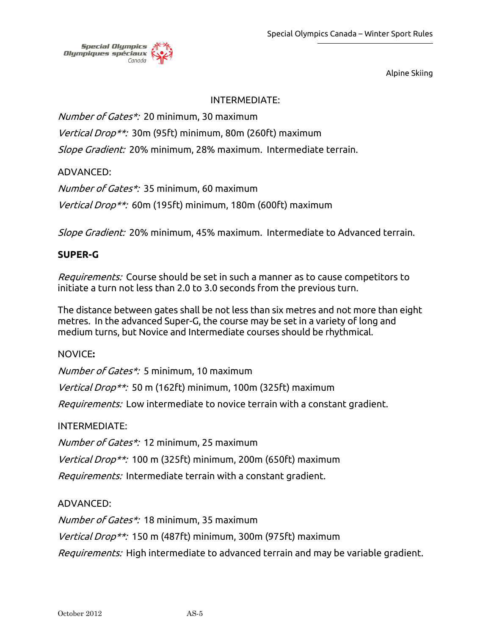

#### INTERMEDIATE:

Number of Gates\*: 20 minimum, 30 maximum

Vertical Drop\*\*: 30m (95ft) minimum, 80m (260ft) maximum

Slope Gradient: 20% minimum, 28% maximum. Intermediate terrain.

ADVANCED:

Number of Gates\*: 35 minimum, 60 maximum

Vertical Drop\*\*: 60m (195ft) minimum, 180m (600ft) maximum

Slope Gradient: 20% minimum, 45% maximum. Intermediate to Advanced terrain.

# **SUPER-G**

Requirements: Course should be set in such a manner as to cause competitors to initiate a turn not less than 2.0 to 3.0 seconds from the previous turn.

The distance between gates shall be not less than six metres and not more than eight metres. In the advanced Super-G, the course may be set in a variety of long and medium turns, but Novice and Intermediate courses should be rhythmical.

#### NOVICE**:**

Number of Gates\*: 5 minimum, 10 maximum

Vertical Drop\*\*: 50 m (162ft) minimum, 100m (325ft) maximum

*Requirements:* Low intermediate to novice terrain with a constant gradient.

# INTERMEDIATE:

Number of Gates\*: 12 minimum, 25 maximum

Vertical Drop\*\*: 100 m (325ft) minimum, 200m (650ft) maximum

Requirements: Intermediate terrain with a constant gradient.

# ADVANCED:

Number of Gates\*: 18 minimum, 35 maximum

Vertical Drop\*\*: 150 m (487ft) minimum, 300m (975ft) maximum

Requirements: High intermediate to advanced terrain and may be variable gradient.